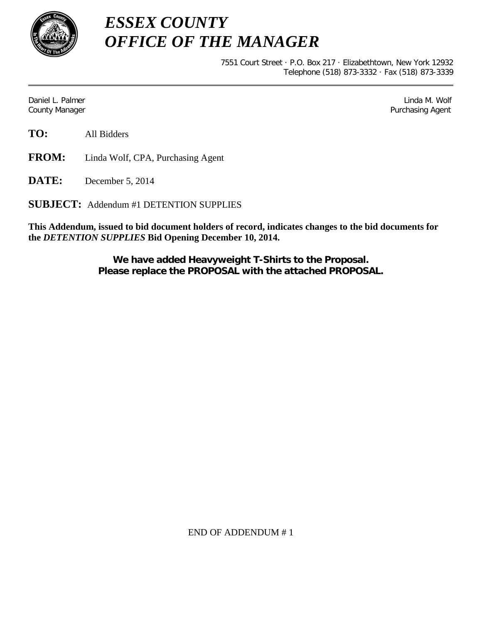

*ESSEX COUNTY OFFICE OF THE MANAGER*

> 7551 Court Street · P.O. Box 217 · Elizabethtown, New York 12932 Telephone (518) 873-3332 · Fax (518) 873-3339

Daniel L. Palmer Later and the control of the control of the control of the control of the control of the control of the control of the control of the control of the control of the control of the control of the control of County Manager **Purchasing Agent** County Manager **Purchasing Agent** County Manager

**TO:** All Bidders

**FROM:** Linda Wolf, CPA, Purchasing Agent

**DATE:** December 5, 2014

**SUBJECT:** Addendum #1 DETENTION SUPPLIES

**This Addendum, issued to bid document holders of record, indicates changes to the bid documents for the** *DETENTION SUPPLIES* **Bid Opening December 10, 2014.**

> **We have added Heavyweight T-Shirts to the Proposal. Please replace the PROPOSAL with the attached PROPOSAL.**

> > END OF ADDENDUM # 1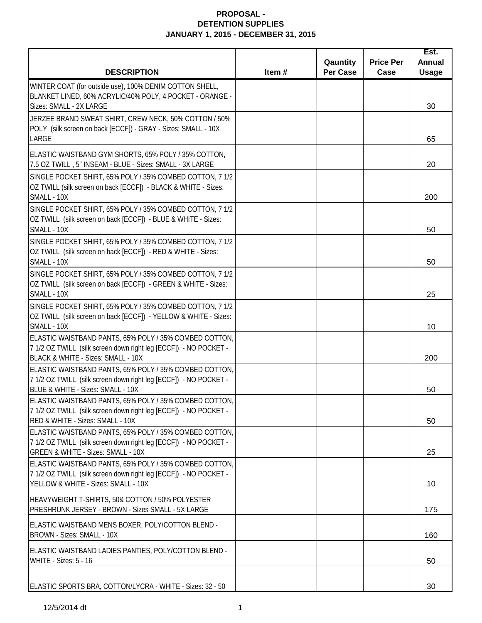|                                                                                                                                                                   |          | Qauntity        | <b>Price Per</b> | Est.<br><b>Annual</b> |
|-------------------------------------------------------------------------------------------------------------------------------------------------------------------|----------|-----------------|------------------|-----------------------|
| <b>DESCRIPTION</b>                                                                                                                                                | Item $#$ | <b>Per Case</b> | Case             | <b>Usage</b>          |
| WINTER COAT (for outside use), 100% DENIM COTTON SHELL,<br>BLANKET LINED, 60% ACRYLIC/40% POLY, 4 POCKET - ORANGE -<br>Sizes: SMALL - 2X LARGE                    |          |                 |                  | 30                    |
| JERZEE BRAND SWEAT SHIRT, CREW NECK, 50% COTTON / 50%<br>POLY (silk screen on back [ECCF]) - GRAY - Sizes: SMALL - 10X<br>LARGE                                   |          |                 |                  | 65                    |
| ELASTIC WAISTBAND GYM SHORTS, 65% POLY / 35% COTTON,<br>7.5 OZ TWILL, 5" INSEAM - BLUE - Sizes: SMALL - 3X LARGE                                                  |          |                 |                  | 20                    |
| SINGLE POCKET SHIRT, 65% POLY / 35% COMBED COTTON, 7 1/2<br>OZ TWILL (silk screen on back [ECCF]) - BLACK & WHITE - Sizes:<br>SMALL - 10X                         |          |                 |                  | 200                   |
| SINGLE POCKET SHIRT, 65% POLY / 35% COMBED COTTON, 7 1/2<br>OZ TWILL (silk screen on back [ECCF]) - BLUE & WHITE - Sizes:<br>SMALL - 10X                          |          |                 |                  | 50                    |
| SINGLE POCKET SHIRT, 65% POLY / 35% COMBED COTTON, 7 1/2<br>OZ TWILL (silk screen on back [ECCF]) - RED & WHITE - Sizes:<br>SMALL - 10X                           |          |                 |                  | 50                    |
| SINGLE POCKET SHIRT, 65% POLY / 35% COMBED COTTON, 7 1/2<br>OZ TWILL (silk screen on back [ECCF]) - GREEN & WHITE - Sizes:<br>SMALL - 10X                         |          |                 |                  | 25                    |
| SINGLE POCKET SHIRT, 65% POLY / 35% COMBED COTTON, 7 1/2<br>OZ TWILL (silk screen on back [ECCF]) - YELLOW & WHITE - Sizes:<br>SMALL - 10X                        |          |                 |                  | 10                    |
| ELASTIC WAISTBAND PANTS, 65% POLY / 35% COMBED COTTON,<br>7 1/2 OZ TWILL (silk screen down right leg [ECCF]) - NO POCKET -<br>BLACK & WHITE - Sizes: SMALL - 10X  |          |                 |                  | 200                   |
| ELASTIC WAISTBAND PANTS, 65% POLY / 35% COMBED COTTON,<br>7 1/2 OZ TWILL (silk screen down right leg [ECCF]) - NO POCKET -<br>BLUE & WHITE - Sizes: SMALL - 10X   |          |                 |                  | 50                    |
| ELASTIC WAISTBAND PANTS, 65% POLY / 35% COMBED COTTON,<br>7 1/2 OZ TWILL (silk screen down right leg [ECCF]) - NO POCKET -<br>RED & WHITE - Sizes: SMALL - 10X    |          |                 |                  | 50                    |
| ELASTIC WAISTBAND PANTS, 65% POLY / 35% COMBED COTTON,<br>7 1/2 OZ TWILL (silk screen down right leg [ECCF]) - NO POCKET -<br>GREEN & WHITE - Sizes: SMALL - 10X  |          |                 |                  | 25                    |
| ELASTIC WAISTBAND PANTS, 65% POLY / 35% COMBED COTTON,<br>7 1/2 OZ TWILL (silk screen down right leg [ECCF]) - NO POCKET -<br>YELLOW & WHITE - Sizes: SMALL - 10X |          |                 |                  | 10                    |
| HEAVYWEIGHT T-SHIRTS, 50& COTTON / 50% POLYESTER<br>PRESHRUNK JERSEY - BROWN - Sizes SMALL - 5X LARGE                                                             |          |                 |                  | 175                   |
| ELASTIC WAISTBAND MENS BOXER, POLY/COTTON BLEND -<br>BROWN - Sizes: SMALL - 10X                                                                                   |          |                 |                  | 160                   |
| ELASTIC WAISTBAND LADIES PANTIES, POLY/COTTON BLEND -<br>WHITE - Sizes: 5 - 16                                                                                    |          |                 |                  | 50                    |
| ELASTIC SPORTS BRA, COTTON/LYCRA - WHITE - Sizes: 32 - 50                                                                                                         |          |                 |                  | 30                    |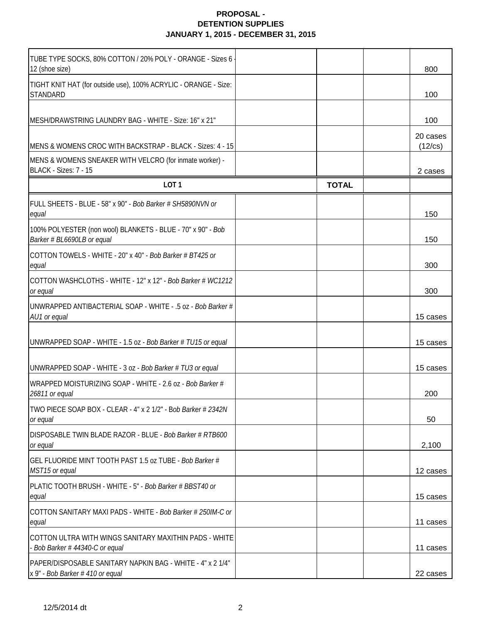| TUBE TYPE SOCKS, 80% COTTON / 20% POLY - ORANGE - Sizes 6                                      |              |                     |
|------------------------------------------------------------------------------------------------|--------------|---------------------|
| 12 (shoe size)<br>TIGHT KNIT HAT (for outside use), 100% ACRYLIC - ORANGE - Size:              |              | 800                 |
| <b>STANDARD</b>                                                                                |              | 100                 |
| MESH/DRAWSTRING LAUNDRY BAG - WHITE - Size: 16" x 21"                                          |              | 100                 |
| MENS & WOMENS CROC WITH BACKSTRAP - BLACK - Sizes: 4 - 15                                      |              | 20 cases<br>(12/cs) |
| MENS & WOMENS SNEAKER WITH VELCRO (for inmate worker) -<br>BLACK - Sizes: 7 - 15               |              | 2 cases             |
| LOT <sub>1</sub>                                                                               | <b>TOTAL</b> |                     |
| FULL SHEETS - BLUE - 58" x 90" - Bob Barker # SH5890NVN or<br>equal                            |              | 150                 |
| 100% POLYESTER (non wool) BLANKETS - BLUE - 70" x 90" - Bob<br>Barker # BL6690LB or equal      |              | 150                 |
| COTTON TOWELS - WHITE - 20" x 40" - Bob Barker # BT425 or<br>equal                             |              | 300                 |
| COTTON WASHCLOTHS - WHITE - 12" x 12" - Bob Barker # WC1212<br>or equal                        |              | 300                 |
| UNWRAPPED ANTIBACTERIAL SOAP - WHITE - .5 oz - Bob Barker #<br>AU1 or equal                    |              | 15 cases            |
| UNWRAPPED SOAP - WHITE - 1.5 oz - Bob Barker # TU15 or equal                                   |              | 15 cases            |
| UNWRAPPED SOAP - WHITE - 3 oz - Bob Barker # TU3 or equal                                      |              | 15 cases            |
| WRAPPED MOISTURIZING SOAP - WHITE - 2.6 oz - Bob Barker #<br>26811 or equal                    |              | 200                 |
| <b>ITWO PIECE SOAP BOX - CLEAR - 4" x 2 1/2" - Bob Barker # 2342N</b><br>or equal              |              | 50                  |
| DISPOSABLE TWIN BLADE RAZOR - BLUE - Bob Barker # RTB600<br>or equal                           |              | 2,100               |
| GEL FLUORIDE MINT TOOTH PAST 1.5 oz TUBE - Bob Barker #<br>MST15 or equal                      |              | 12 cases            |
| PLATIC TOOTH BRUSH - WHITE - 5" - Bob Barker # BBST40 or<br>equal                              |              | 15 cases            |
| COTTON SANITARY MAXI PADS - WHITE - Bob Barker # 250IM-C or<br>equal                           |              | 11 cases            |
| COTTON ULTRA WITH WINGS SANITARY MAXITHIN PADS - WHITE<br>- Bob Barker $#$ 44340-C or equal    |              | 11 cases            |
| PAPER/DISPOSABLE SANITARY NAPKIN BAG - WHITE - 4" x 2 1/4"<br>x 9" - Bob Barker # 410 or equal |              | 22 cases            |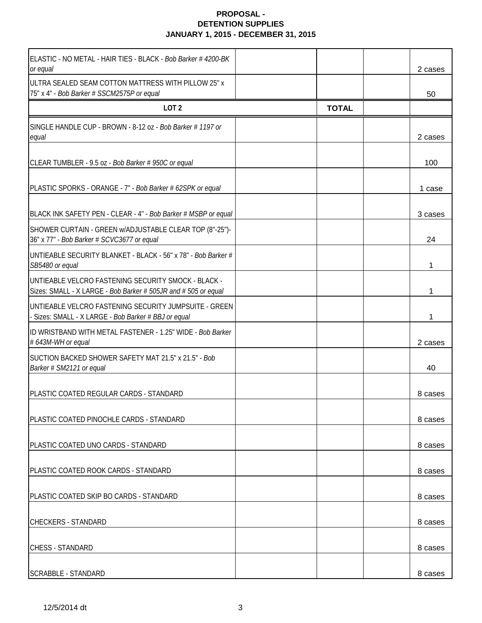| ELASTIC - NO METAL - HAIR TIES - BLACK - Bob Barker # 4200-BK<br>or equal                                             |              | 2 cases |
|-----------------------------------------------------------------------------------------------------------------------|--------------|---------|
| ULTRA SEALED SEAM COTTON MATTRESS WITH PILLOW 25" x<br>75" x 4" - Bob Barker # SSCM2575P or equal                     |              | 50      |
| LOT <sub>2</sub>                                                                                                      | <b>TOTAL</b> |         |
| SINGLE HANDLE CUP - BROWN - 8-12 oz - Bob Barker # 1197 or<br>equal                                                   |              | 2 cases |
| CLEAR TUMBLER - 9.5 oz - Bob Barker # 950C or equal                                                                   |              | 100     |
| PLASTIC SPORKS - ORANGE - 7" - Bob Barker # 62SPK or equal                                                            |              | 1 case  |
| BLACK INK SAFETY PEN - CLEAR - 4" - Bob Barker # MSBP or equal                                                        |              | 3 cases |
| SHOWER CURTAIN - GREEN w/ADJUSTABLE CLEAR TOP (8"-25")-<br>36" x 77" - Bob Barker # SCVC3677 or equal                 |              | 24      |
| UNTIEABLE SECURITY BLANKET - BLACK - 56" x 78" - Bob Barker #<br>SB5480 or equal                                      |              |         |
| UNTIEABLE VELCRO FASTENING SECURITY SMOCK - BLACK -<br>Sizes: SMALL - X LARGE - Bob Barker # 505JR and # 505 or equal |              | 1       |
| UNTIEABLE VELCRO FASTENING SECURITY JUMPSUITE - GREEN<br>- Sizes: SMALL - X LARGE - Bob Barker # BBJ or equal         |              | 1       |
| ID WRISTBAND WITH METAL FASTENER - 1.25" WIDE - Bob Barker<br># 643M-WH or equal                                      |              | 2 cases |
| SUCTION BACKED SHOWER SAFETY MAT 21.5" x 21.5" - Bob<br>Barker # SM2121 or equal                                      |              | 40      |
| PLASTIC COATED REGULAR CARDS - STANDARD                                                                               |              | 8 cases |
| PLASTIC COATED PINOCHLE CARDS - STANDARD                                                                              |              | 8 cases |
| PLASTIC COATED UNO CARDS - STANDARD                                                                                   |              | 8 cases |
| PLASTIC COATED ROOK CARDS - STANDARD                                                                                  |              | 8 cases |
| PLASTIC COATED SKIP BO CARDS - STANDARD                                                                               |              | 8 cases |
| <b>CHECKERS - STANDARD</b>                                                                                            |              | 8 cases |
| <b>CHESS - STANDARD</b>                                                                                               |              | 8 cases |
| <b>SCRABBLE - STANDARD</b>                                                                                            |              | 8 cases |